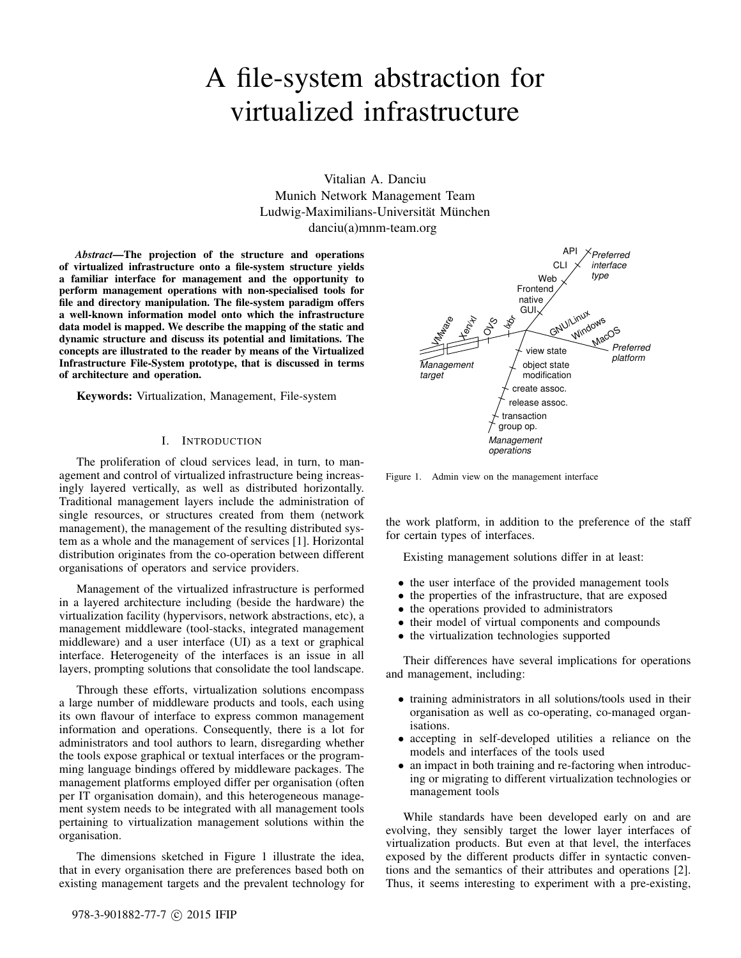# A file-system abstraction for virtualized infrastructure

Vitalian A. Danciu Munich Network Management Team Ludwig-Maximilians-Universität München danciu(a)mnm-team.org

*Abstract*—The projection of the structure and operations of virtualized infrastructure onto a file-system structure yields a familiar interface for management and the opportunity to perform management operations with non-specialised tools for file and directory manipulation. The file-system paradigm offers a well-known information model onto which the infrastructure data model is mapped. We describe the mapping of the static and dynamic structure and discuss its potential and limitations. The concepts are illustrated to the reader by means of the Virtualized Infrastructure File-System prototype, that is discussed in terms of architecture and operation.

Keywords: Virtualization, Management, File-system

## I. INTRODUCTION

The proliferation of cloud services lead, in turn, to management and control of virtualized infrastructure being increasingly layered vertically, as well as distributed horizontally. Traditional management layers include the administration of single resources, or structures created from them (network management), the management of the resulting distributed system as a whole and the management of services [1]. Horizontal distribution originates from the co-operation between different organisations of operators and service providers.

Management of the virtualized infrastructure is performed in a layered architecture including (beside the hardware) the virtualization facility (hypervisors, network abstractions, etc), a management middleware (tool-stacks, integrated management middleware) and a user interface (UI) as a text or graphical interface. Heterogeneity of the interfaces is an issue in all layers, prompting solutions that consolidate the tool landscape.

Through these efforts, virtualization solutions encompass a large number of middleware products and tools, each using its own flavour of interface to express common management information and operations. Consequently, there is a lot for administrators and tool authors to learn, disregarding whether the tools expose graphical or textual interfaces or the programming language bindings offered by middleware packages. The management platforms employed differ per organisation (often per IT organisation domain), and this heterogeneous management system needs to be integrated with all management tools pertaining to virtualization management solutions within the organisation.

The dimensions sketched in Figure 1 illustrate the idea, that in every organisation there are preferences based both on existing management targets and the prevalent technology for



Figure 1. Admin view on the management interface

the work platform, in addition to the preference of the staff for certain types of interfaces.

Existing management solutions differ in at least:

- the user interface of the provided management tools
- the properties of the infrastructure, that are exposed
- the operations provided to administrators
- their model of virtual components and compounds
- the virtualization technologies supported

Their differences have several implications for operations and management, including:

- training administrators in all solutions/tools used in their organisation as well as co-operating, co-managed organisations.
- accepting in self-developed utilities a reliance on the models and interfaces of the tools used
- an impact in both training and re-factoring when introducing or migrating to different virtualization technologies or management tools

While standards have been developed early on and are evolving, they sensibly target the lower layer interfaces of virtualization products. But even at that level, the interfaces exposed by the different products differ in syntactic conventions and the semantics of their attributes and operations [2]. Thus, it seems interesting to experiment with a pre-existing,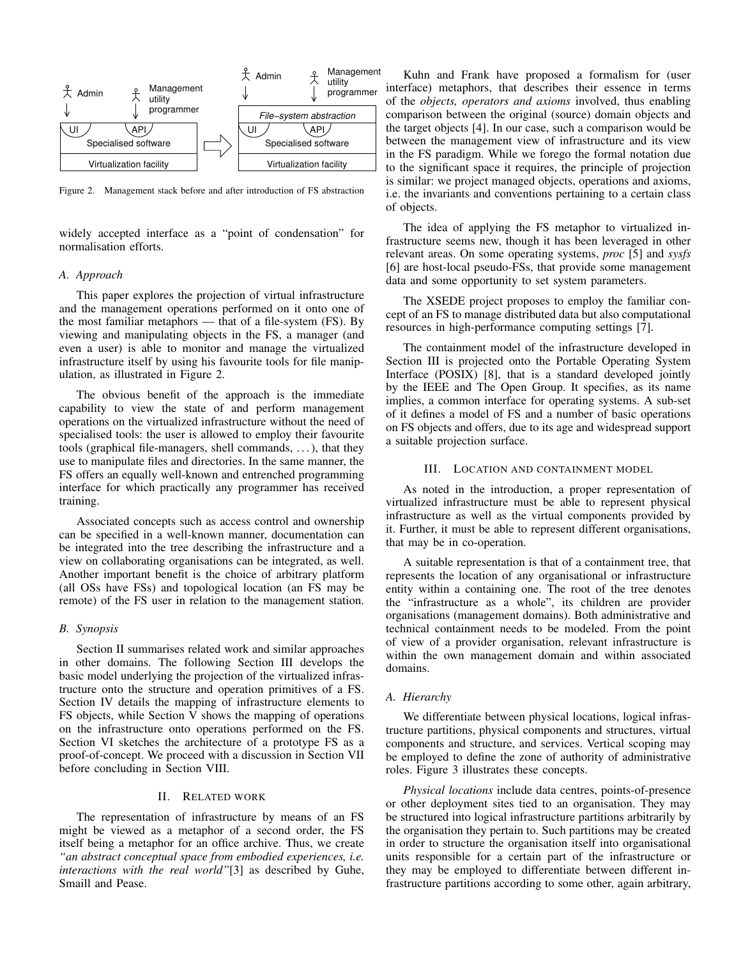

Figure 2. Management stack before and after introduction of FS abstraction

widely accepted interface as a "point of condensation" for normalisation efforts.

# *A. Approach*

This paper explores the projection of virtual infrastructure and the management operations performed on it onto one of the most familiar metaphors — that of a file-system (FS). By viewing and manipulating objects in the FS, a manager (and even a user) is able to monitor and manage the virtualized infrastructure itself by using his favourite tools for file manipulation, as illustrated in Figure 2.

The obvious benefit of the approach is the immediate capability to view the state of and perform management operations on the virtualized infrastructure without the need of specialised tools: the user is allowed to employ their favourite tools (graphical file-managers, shell commands, . . . ), that they use to manipulate files and directories. In the same manner, the FS offers an equally well-known and entrenched programming interface for which practically any programmer has received training.

Associated concepts such as access control and ownership can be specified in a well-known manner, documentation can be integrated into the tree describing the infrastructure and a view on collaborating organisations can be integrated, as well. Another important benefit is the choice of arbitrary platform (all OSs have FSs) and topological location (an FS may be remote) of the FS user in relation to the management station.

#### *B. Synopsis*

Section II summarises related work and similar approaches in other domains. The following Section III develops the basic model underlying the projection of the virtualized infrastructure onto the structure and operation primitives of a FS. Section IV details the mapping of infrastructure elements to FS objects, while Section V shows the mapping of operations on the infrastructure onto operations performed on the FS. Section VI sketches the architecture of a prototype FS as a proof-of-concept. We proceed with a discussion in Section VII before concluding in Section VIII.

## II. RELATED WORK

The representation of infrastructure by means of an FS might be viewed as a metaphor of a second order, the FS itself being a metaphor for an office archive. Thus, we create *"an abstract conceptual space from embodied experiences, i.e. interactions with the real world"*[3] as described by Guhe, Smaill and Pease.

Kuhn and Frank have proposed a formalism for (user interface) metaphors, that describes their essence in terms of the *objects, operators and axioms* involved, thus enabling comparison between the original (source) domain objects and the target objects [4]. In our case, such a comparison would be between the management view of infrastructure and its view in the FS paradigm. While we forego the formal notation due to the significant space it requires, the principle of projection is similar: we project managed objects, operations and axioms, i.e. the invariants and conventions pertaining to a certain class of objects.

The idea of applying the FS metaphor to virtualized infrastructure seems new, though it has been leveraged in other relevant areas. On some operating systems, *proc* [5] and *sysfs* [6] are host-local pseudo-FSs, that provide some management data and some opportunity to set system parameters.

The XSEDE project proposes to employ the familiar concept of an FS to manage distributed data but also computational resources in high-performance computing settings [7].

The containment model of the infrastructure developed in Section III is projected onto the Portable Operating System Interface (POSIX) [8], that is a standard developed jointly by the IEEE and The Open Group. It specifies, as its name implies, a common interface for operating systems. A sub-set of it defines a model of FS and a number of basic operations on FS objects and offers, due to its age and widespread support a suitable projection surface.

#### III. LOCATION AND CONTAINMENT MODEL

As noted in the introduction, a proper representation of virtualized infrastructure must be able to represent physical infrastructure as well as the virtual components provided by it. Further, it must be able to represent different organisations, that may be in co-operation.

A suitable representation is that of a containment tree, that represents the location of any organisational or infrastructure entity within a containing one. The root of the tree denotes the "infrastructure as a whole", its children are provider organisations (management domains). Both administrative and technical containment needs to be modeled. From the point of view of a provider organisation, relevant infrastructure is within the own management domain and within associated domains.

### *A. Hierarchy*

We differentiate between physical locations, logical infrastructure partitions, physical components and structures, virtual components and structure, and services. Vertical scoping may be employed to define the zone of authority of administrative roles. Figure 3 illustrates these concepts.

*Physical locations* include data centres, points-of-presence or other deployment sites tied to an organisation. They may be structured into logical infrastructure partitions arbitrarily by the organisation they pertain to. Such partitions may be created in order to structure the organisation itself into organisational units responsible for a certain part of the infrastructure or they may be employed to differentiate between different infrastructure partitions according to some other, again arbitrary,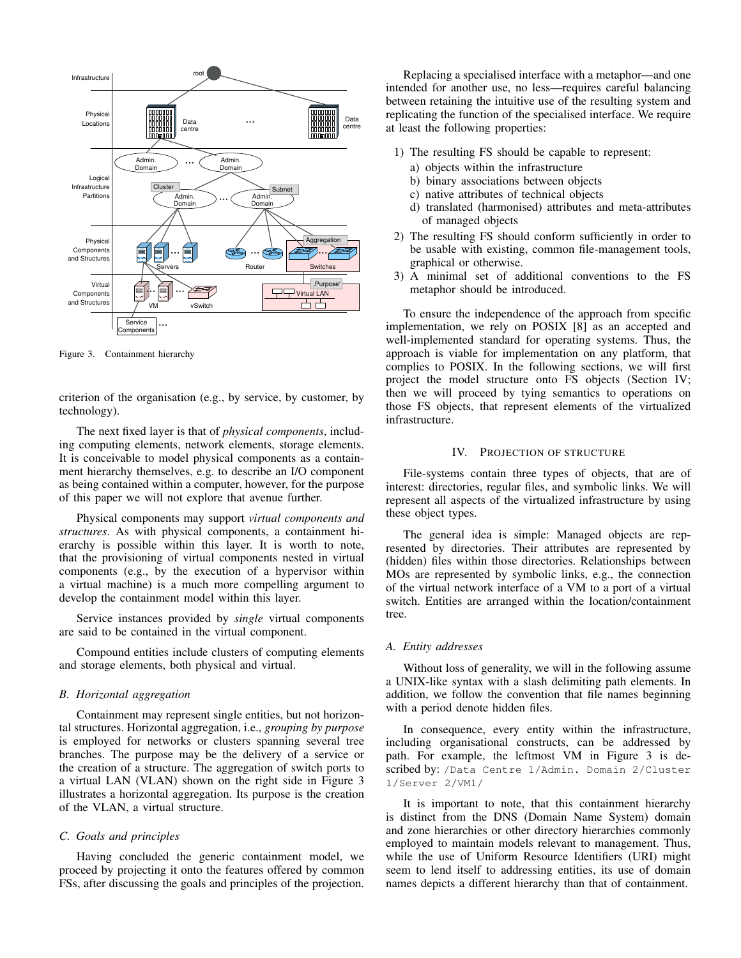

Figure 3. Containment hierarchy

criterion of the organisation (e.g., by service, by customer, by technology).

The next fixed layer is that of *physical components*, including computing elements, network elements, storage elements. It is conceivable to model physical components as a containment hierarchy themselves, e.g. to describe an I/O component as being contained within a computer, however, for the purpose of this paper we will not explore that avenue further.

Physical components may support *virtual components and structures*. As with physical components, a containment hierarchy is possible within this layer. It is worth to note, that the provisioning of virtual components nested in virtual components (e.g., by the execution of a hypervisor within a virtual machine) is a much more compelling argument to develop the containment model within this layer.

Service instances provided by *single* virtual components are said to be contained in the virtual component.

Compound entities include clusters of computing elements and storage elements, both physical and virtual.

#### *B. Horizontal aggregation*

Containment may represent single entities, but not horizontal structures. Horizontal aggregation, i.e., *grouping by purpose* is employed for networks or clusters spanning several tree branches. The purpose may be the delivery of a service or the creation of a structure. The aggregation of switch ports to a virtual LAN (VLAN) shown on the right side in Figure 3 illustrates a horizontal aggregation. Its purpose is the creation of the VLAN, a virtual structure.

# *C. Goals and principles*

Having concluded the generic containment model, we proceed by projecting it onto the features offered by common FSs, after discussing the goals and principles of the projection.

Replacing a specialised interface with a metaphor—and one intended for another use, no less—requires careful balancing between retaining the intuitive use of the resulting system and replicating the function of the specialised interface. We require at least the following properties:

1) The resulting FS should be capable to represent:

- a) objects within the infrastructure
- b) binary associations between objects
- c) native attributes of technical objects
- d) translated (harmonised) attributes and meta-attributes of managed objects
- 2) The resulting FS should conform sufficiently in order to be usable with existing, common file-management tools, graphical or otherwise.
- 3) A minimal set of additional conventions to the FS metaphor should be introduced.

To ensure the independence of the approach from specific implementation, we rely on POSIX [8] as an accepted and well-implemented standard for operating systems. Thus, the approach is viable for implementation on any platform, that complies to POSIX. In the following sections, we will first project the model structure onto FS objects (Section IV; then we will proceed by tying semantics to operations on those FS objects, that represent elements of the virtualized infrastructure.

## IV. PROJECTION OF STRUCTURE

File-systems contain three types of objects, that are of interest: directories, regular files, and symbolic links. We will represent all aspects of the virtualized infrastructure by using these object types.

The general idea is simple: Managed objects are represented by directories. Their attributes are represented by (hidden) files within those directories. Relationships between MOs are represented by symbolic links, e.g., the connection of the virtual network interface of a VM to a port of a virtual switch. Entities are arranged within the location/containment tree.

#### *A. Entity addresses*

Without loss of generality, we will in the following assume a UNIX-like syntax with a slash delimiting path elements. In addition, we follow the convention that file names beginning with a period denote hidden files.

In consequence, every entity within the infrastructure, including organisational constructs, can be addressed by path. For example, the leftmost VM in Figure 3 is described by: /Data Centre 1/Admin. Domain 2/Cluster 1/Server 2/VM1/

It is important to note, that this containment hierarchy is distinct from the DNS (Domain Name System) domain and zone hierarchies or other directory hierarchies commonly employed to maintain models relevant to management. Thus, while the use of Uniform Resource Identifiers (URI) might seem to lend itself to addressing entities, its use of domain names depicts a different hierarchy than that of containment.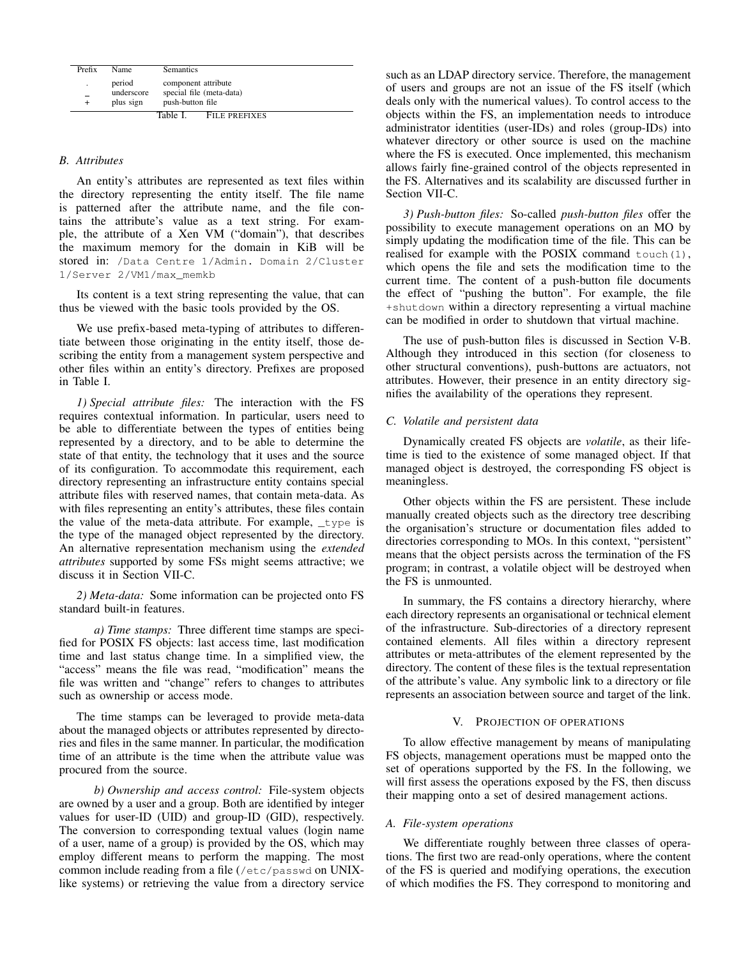| Prefix | Name                              | Semantics                                                           |
|--------|-----------------------------------|---------------------------------------------------------------------|
| ٠<br>- | period<br>underscore<br>plus sign | component attribute<br>special file (meta-data)<br>push-button file |
|        |                                   | <b>FILE PREFIXES</b><br>Table I.                                    |

## *B. Attributes*

An entity's attributes are represented as text files within the directory representing the entity itself. The file name is patterned after the attribute name, and the file contains the attribute's value as a text string. For example, the attribute of a Xen VM ("domain"), that describes the maximum memory for the domain in KiB will be stored in: /Data Centre 1/Admin. Domain 2/Cluster 1/Server 2/VM1/max\_memkb

Its content is a text string representing the value, that can thus be viewed with the basic tools provided by the OS.

We use prefix-based meta-typing of attributes to differentiate between those originating in the entity itself, those describing the entity from a management system perspective and other files within an entity's directory. Prefixes are proposed in Table I.

*1) Special attribute files:* The interaction with the FS requires contextual information. In particular, users need to be able to differentiate between the types of entities being represented by a directory, and to be able to determine the state of that entity, the technology that it uses and the source of its configuration. To accommodate this requirement, each directory representing an infrastructure entity contains special attribute files with reserved names, that contain meta-data. As with files representing an entity's attributes, these files contain the value of the meta-data attribute. For example,  $_t$  type is the type of the managed object represented by the directory. An alternative representation mechanism using the *extended attributes* supported by some FSs might seems attractive; we discuss it in Section VII-C.

*2) Meta-data:* Some information can be projected onto FS standard built-in features.

*a) Time stamps:* Three different time stamps are specified for POSIX FS objects: last access time, last modification time and last status change time. In a simplified view, the "access" means the file was read, "modification" means the file was written and "change" refers to changes to attributes such as ownership or access mode.

The time stamps can be leveraged to provide meta-data about the managed objects or attributes represented by directories and files in the same manner. In particular, the modification time of an attribute is the time when the attribute value was procured from the source.

*b) Ownership and access control:* File-system objects are owned by a user and a group. Both are identified by integer values for user-ID (UID) and group-ID (GID), respectively. The conversion to corresponding textual values (login name of a user, name of a group) is provided by the OS, which may employ different means to perform the mapping. The most common include reading from a file (/etc/passwd on UNIXlike systems) or retrieving the value from a directory service such as an LDAP directory service. Therefore, the management of users and groups are not an issue of the FS itself (which deals only with the numerical values). To control access to the objects within the FS, an implementation needs to introduce administrator identities (user-IDs) and roles (group-IDs) into whatever directory or other source is used on the machine where the FS is executed. Once implemented, this mechanism allows fairly fine-grained control of the objects represented in the FS. Alternatives and its scalability are discussed further in Section VII-C.

*3) Push-button files:* So-called *push-button files* offer the possibility to execute management operations on an MO by simply updating the modification time of the file. This can be realised for example with the POSIX command touch(1), which opens the file and sets the modification time to the current time. The content of a push-button file documents the effect of "pushing the button". For example, the file +shutdown within a directory representing a virtual machine can be modified in order to shutdown that virtual machine.

The use of push-button files is discussed in Section V-B. Although they introduced in this section (for closeness to other structural conventions), push-buttons are actuators, not attributes. However, their presence in an entity directory signifies the availability of the operations they represent.

## *C. Volatile and persistent data*

Dynamically created FS objects are *volatile*, as their lifetime is tied to the existence of some managed object. If that managed object is destroyed, the corresponding FS object is meaningless.

Other objects within the FS are persistent. These include manually created objects such as the directory tree describing the organisation's structure or documentation files added to directories corresponding to MOs. In this context, "persistent" means that the object persists across the termination of the FS program; in contrast, a volatile object will be destroyed when the FS is unmounted.

In summary, the FS contains a directory hierarchy, where each directory represents an organisational or technical element of the infrastructure. Sub-directories of a directory represent contained elements. All files within a directory represent attributes or meta-attributes of the element represented by the directory. The content of these files is the textual representation of the attribute's value. Any symbolic link to a directory or file represents an association between source and target of the link.

#### V. PROJECTION OF OPERATIONS

To allow effective management by means of manipulating FS objects, management operations must be mapped onto the set of operations supported by the FS. In the following, we will first assess the operations exposed by the FS, then discuss their mapping onto a set of desired management actions.

## *A. File-system operations*

We differentiate roughly between three classes of operations. The first two are read-only operations, where the content of the FS is queried and modifying operations, the execution of which modifies the FS. They correspond to monitoring and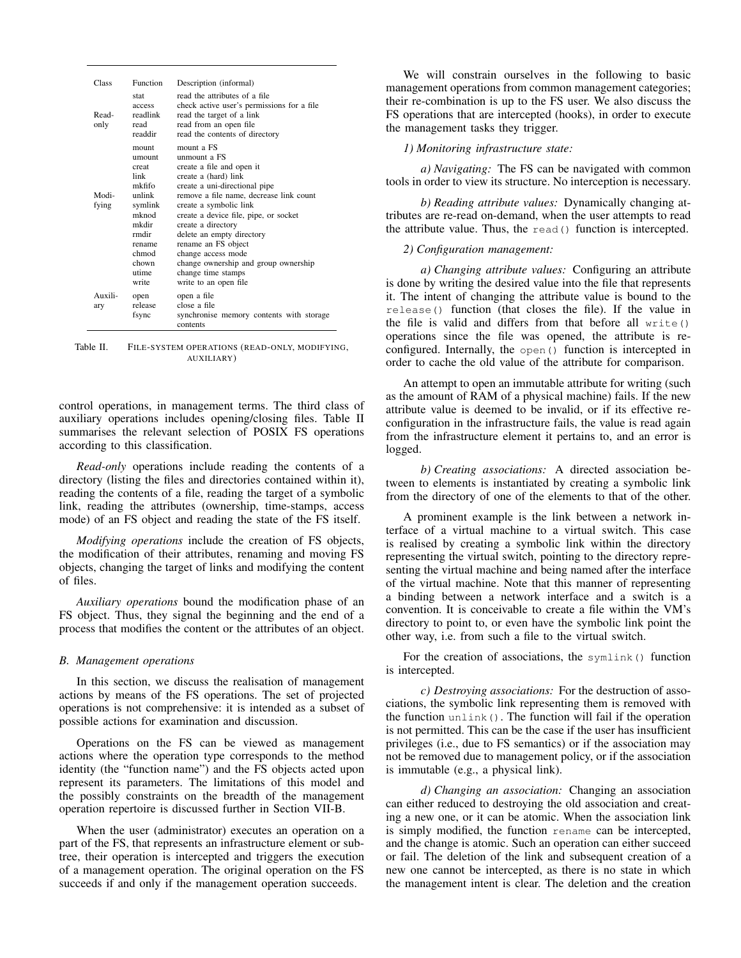| Class         | <b>Function</b>                               | Description (informal)                                                                                                                                               |
|---------------|-----------------------------------------------|----------------------------------------------------------------------------------------------------------------------------------------------------------------------|
| Read-<br>only | stat<br>access<br>readlink<br>read<br>readdir | read the attributes of a file<br>check active user's permissions for a file<br>read the target of a link<br>read from an open file<br>read the contents of directory |
|               | mount<br>umount<br>creat<br>link<br>mkfifo    | mount a FS<br>unmount a FS<br>create a file and open it<br>create a (hard) link<br>create a uni-directional pipe                                                     |
| Modi-         | unlink                                        | remove a file name, decrease link count                                                                                                                              |
| fying         | symlink                                       | create a symbolic link                                                                                                                                               |
|               | mknod                                         | create a device file, pipe, or socket                                                                                                                                |
|               | mkdir                                         | create a directory                                                                                                                                                   |
|               | rmdir                                         | delete an empty directory                                                                                                                                            |
|               | rename                                        | rename an FS object                                                                                                                                                  |
|               | chmod                                         | change access mode                                                                                                                                                   |
|               | chown                                         | change ownership and group ownership                                                                                                                                 |
|               | utime                                         | change time stamps                                                                                                                                                   |
|               | write                                         | write to an open file                                                                                                                                                |
| Auxili-       | open                                          | open a file                                                                                                                                                          |
| ary           | release                                       | close a file                                                                                                                                                         |
|               | fsync                                         | synchronise memory contents with storage<br>contents                                                                                                                 |

Table II. FILE-SYSTEM OPERATIONS (READ-ONLY, MODIFYING, AUXILIARY)

control operations, in management terms. The third class of auxiliary operations includes opening/closing files. Table II summarises the relevant selection of POSIX FS operations according to this classification.

*Read-only* operations include reading the contents of a directory (listing the files and directories contained within it), reading the contents of a file, reading the target of a symbolic link, reading the attributes (ownership, time-stamps, access mode) of an FS object and reading the state of the FS itself.

*Modifying operations* include the creation of FS objects, the modification of their attributes, renaming and moving FS objects, changing the target of links and modifying the content of files.

*Auxiliary operations* bound the modification phase of an FS object. Thus, they signal the beginning and the end of a process that modifies the content or the attributes of an object.

#### *B. Management operations*

In this section, we discuss the realisation of management actions by means of the FS operations. The set of projected operations is not comprehensive: it is intended as a subset of possible actions for examination and discussion.

Operations on the FS can be viewed as management actions where the operation type corresponds to the method identity (the "function name") and the FS objects acted upon represent its parameters. The limitations of this model and the possibly constraints on the breadth of the management operation repertoire is discussed further in Section VII-B.

When the user (administrator) executes an operation on a part of the FS, that represents an infrastructure element or subtree, their operation is intercepted and triggers the execution of a management operation. The original operation on the FS succeeds if and only if the management operation succeeds.

We will constrain ourselves in the following to basic management operations from common management categories; their re-combination is up to the FS user. We also discuss the FS operations that are intercepted (hooks), in order to execute the management tasks they trigger.

#### *1) Monitoring infrastructure state:*

*a) Navigating:* The FS can be navigated with common tools in order to view its structure. No interception is necessary.

*b) Reading attribute values:* Dynamically changing attributes are re-read on-demand, when the user attempts to read the attribute value. Thus, the read() function is intercepted.

#### *2) Configuration management:*

*a) Changing attribute values:* Configuring an attribute is done by writing the desired value into the file that represents it. The intent of changing the attribute value is bound to the release() function (that closes the file). If the value in the file is valid and differs from that before all write() operations since the file was opened, the attribute is reconfigured. Internally, the open() function is intercepted in order to cache the old value of the attribute for comparison.

An attempt to open an immutable attribute for writing (such as the amount of RAM of a physical machine) fails. If the new attribute value is deemed to be invalid, or if its effective reconfiguration in the infrastructure fails, the value is read again from the infrastructure element it pertains to, and an error is logged.

*b) Creating associations:* A directed association between to elements is instantiated by creating a symbolic link from the directory of one of the elements to that of the other.

A prominent example is the link between a network interface of a virtual machine to a virtual switch. This case is realised by creating a symbolic link within the directory representing the virtual switch, pointing to the directory representing the virtual machine and being named after the interface of the virtual machine. Note that this manner of representing a binding between a network interface and a switch is a convention. It is conceivable to create a file within the VM's directory to point to, or even have the symbolic link point the other way, i.e. from such a file to the virtual switch.

For the creation of associations, the symlink() function is intercepted.

*c) Destroying associations:* For the destruction of associations, the symbolic link representing them is removed with the function unlink(). The function will fail if the operation is not permitted. This can be the case if the user has insufficient privileges (i.e., due to FS semantics) or if the association may not be removed due to management policy, or if the association is immutable (e.g., a physical link).

*d) Changing an association:* Changing an association can either reduced to destroying the old association and creating a new one, or it can be atomic. When the association link is simply modified, the function rename can be intercepted, and the change is atomic. Such an operation can either succeed or fail. The deletion of the link and subsequent creation of a new one cannot be intercepted, as there is no state in which the management intent is clear. The deletion and the creation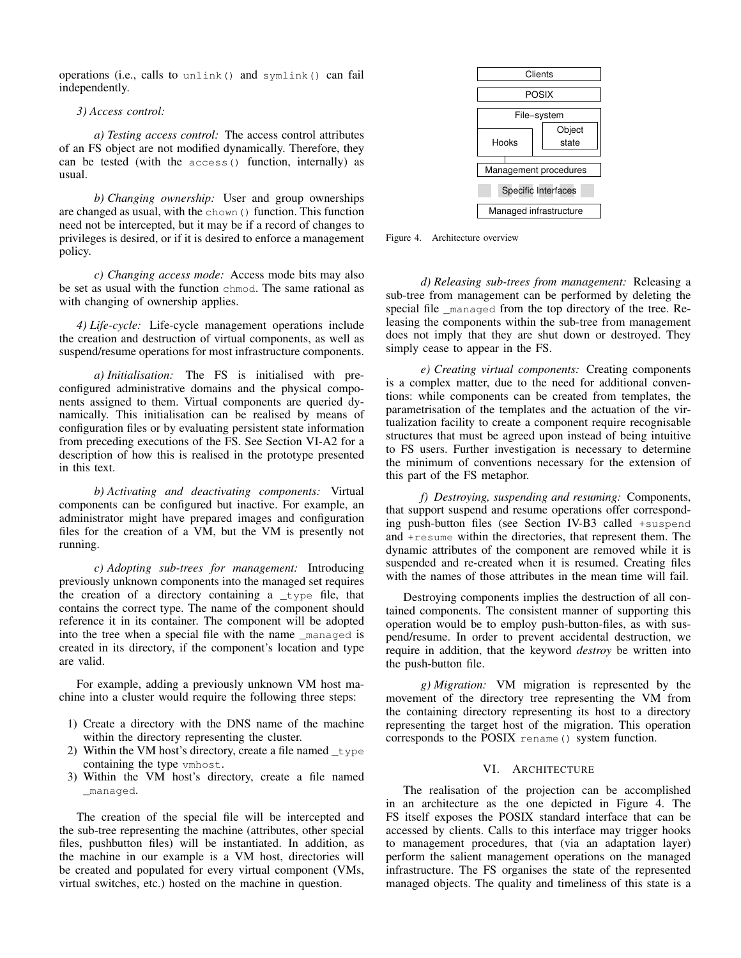operations (i.e., calls to unlink() and symlink() can fail independently.

## *3) Access control:*

*a) Testing access control:* The access control attributes of an FS object are not modified dynamically. Therefore, they can be tested (with the access() function, internally) as usual.

*b) Changing ownership:* User and group ownerships are changed as usual, with the chown() function. This function need not be intercepted, but it may be if a record of changes to privileges is desired, or if it is desired to enforce a management policy.

*c) Changing access mode:* Access mode bits may also be set as usual with the function chmod. The same rational as with changing of ownership applies.

*4) Life-cycle:* Life-cycle management operations include the creation and destruction of virtual components, as well as suspend/resume operations for most infrastructure components.

*a) Initialisation:* The FS is initialised with preconfigured administrative domains and the physical components assigned to them. Virtual components are queried dynamically. This initialisation can be realised by means of configuration files or by evaluating persistent state information from preceding executions of the FS. See Section VI-A2 for a description of how this is realised in the prototype presented in this text.

*b) Activating and deactivating components:* Virtual components can be configured but inactive. For example, an administrator might have prepared images and configuration files for the creation of a VM, but the VM is presently not running.

*c) Adopting sub-trees for management:* Introducing previously unknown components into the managed set requires the creation of a directory containing a  $_{\text{type}}$  file, that contains the correct type. The name of the component should reference it in its container. The component will be adopted into the tree when a special file with the name \_managed is created in its directory, if the component's location and type are valid.

For example, adding a previously unknown VM host machine into a cluster would require the following three steps:

- 1) Create a directory with the DNS name of the machine within the directory representing the cluster.
- 2) Within the VM host's directory, create a file named  $_t$ containing the type vmhost.
- 3) Within the VM host's directory, create a file named \_managed.

The creation of the special file will be intercepted and the sub-tree representing the machine (attributes, other special files, pushbutton files) will be instantiated. In addition, as the machine in our example is a VM host, directories will be created and populated for every virtual component (VMs, virtual switches, etc.) hosted on the machine in question.



Figure 4. Architecture overview

*d) Releasing sub-trees from management:* Releasing a sub-tree from management can be performed by deleting the special file \_managed from the top directory of the tree. Releasing the components within the sub-tree from management does not imply that they are shut down or destroyed. They simply cease to appear in the FS.

*e) Creating virtual components:* Creating components is a complex matter, due to the need for additional conventions: while components can be created from templates, the parametrisation of the templates and the actuation of the virtualization facility to create a component require recognisable structures that must be agreed upon instead of being intuitive to FS users. Further investigation is necessary to determine the minimum of conventions necessary for the extension of this part of the FS metaphor.

*f) Destroying, suspending and resuming:* Components, that support suspend and resume operations offer corresponding push-button files (see Section IV-B3 called +suspend and +resume within the directories, that represent them. The dynamic attributes of the component are removed while it is suspended and re-created when it is resumed. Creating files with the names of those attributes in the mean time will fail.

Destroying components implies the destruction of all contained components. The consistent manner of supporting this operation would be to employ push-button-files, as with suspend/resume. In order to prevent accidental destruction, we require in addition, that the keyword *destroy* be written into the push-button file.

*g) Migration:* VM migration is represented by the movement of the directory tree representing the VM from the containing directory representing its host to a directory representing the target host of the migration. This operation corresponds to the POSIX rename() system function.

## VI. ARCHITECTURE

The realisation of the projection can be accomplished in an architecture as the one depicted in Figure 4. The FS itself exposes the POSIX standard interface that can be accessed by clients. Calls to this interface may trigger hooks to management procedures, that (via an adaptation layer) perform the salient management operations on the managed infrastructure. The FS organises the state of the represented managed objects. The quality and timeliness of this state is a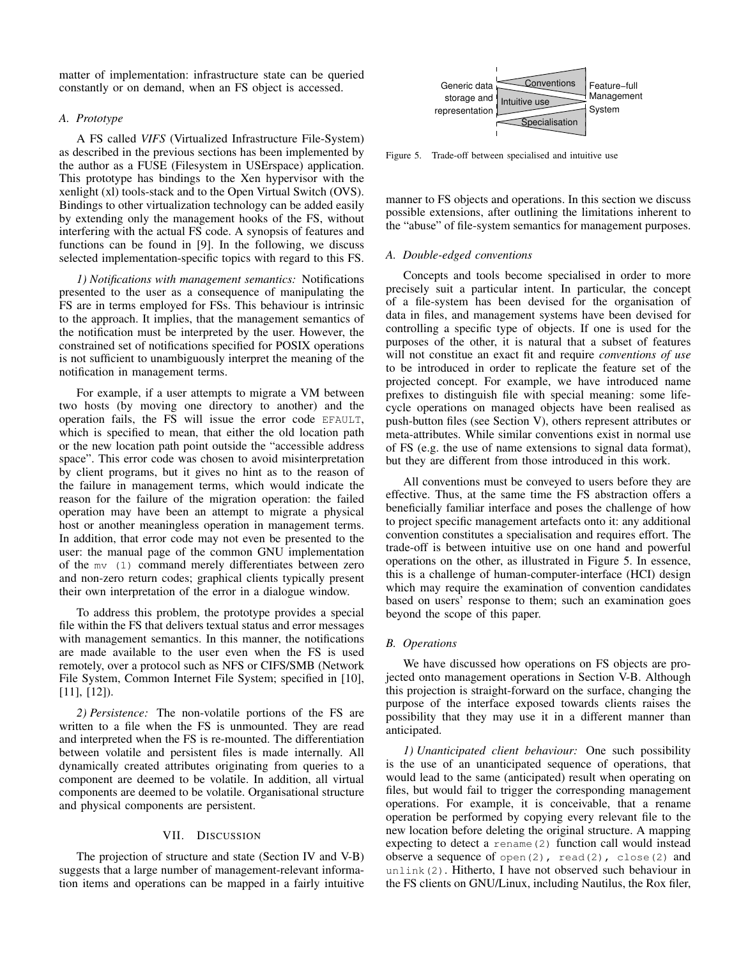matter of implementation: infrastructure state can be queried constantly or on demand, when an FS object is accessed.

# *A. Prototype*

A FS called *VIFS* (Virtualized Infrastructure File-System) as described in the previous sections has been implemented by the author as a FUSE (Filesystem in USErspace) application. This prototype has bindings to the Xen hypervisor with the xenlight (xl) tools-stack and to the Open Virtual Switch (OVS). Bindings to other virtualization technology can be added easily by extending only the management hooks of the FS, without interfering with the actual FS code. A synopsis of features and functions can be found in [9]. In the following, we discuss selected implementation-specific topics with regard to this FS.

*1) Notifications with management semantics:* Notifications presented to the user as a consequence of manipulating the FS are in terms employed for FSs. This behaviour is intrinsic to the approach. It implies, that the management semantics of the notification must be interpreted by the user. However, the constrained set of notifications specified for POSIX operations is not sufficient to unambiguously interpret the meaning of the notification in management terms.

For example, if a user attempts to migrate a VM between two hosts (by moving one directory to another) and the operation fails, the FS will issue the error code EFAULT, which is specified to mean, that either the old location path or the new location path point outside the "accessible address space". This error code was chosen to avoid misinterpretation by client programs, but it gives no hint as to the reason of the failure in management terms, which would indicate the reason for the failure of the migration operation: the failed operation may have been an attempt to migrate a physical host or another meaningless operation in management terms. In addition, that error code may not even be presented to the user: the manual page of the common GNU implementation of the mv (1) command merely differentiates between zero and non-zero return codes; graphical clients typically present their own interpretation of the error in a dialogue window.

To address this problem, the prototype provides a special file within the FS that delivers textual status and error messages with management semantics. In this manner, the notifications are made available to the user even when the FS is used remotely, over a protocol such as NFS or CIFS/SMB (Network File System, Common Internet File System; specified in [10], [11], [12]).

*2) Persistence:* The non-volatile portions of the FS are written to a file when the FS is unmounted. They are read and interpreted when the FS is re-mounted. The differentiation between volatile and persistent files is made internally. All dynamically created attributes originating from queries to a component are deemed to be volatile. In addition, all virtual components are deemed to be volatile. Organisational structure and physical components are persistent.

## VII. DISCUSSION

The projection of structure and state (Section IV and V-B) suggests that a large number of management-relevant information items and operations can be mapped in a fairly intuitive



Figure 5. Trade-off between specialised and intuitive use

manner to FS objects and operations. In this section we discuss possible extensions, after outlining the limitations inherent to the "abuse" of file-system semantics for management purposes.

#### *A. Double-edged conventions*

Concepts and tools become specialised in order to more precisely suit a particular intent. In particular, the concept of a file-system has been devised for the organisation of data in files, and management systems have been devised for controlling a specific type of objects. If one is used for the purposes of the other, it is natural that a subset of features will not constitue an exact fit and require *conventions of use* to be introduced in order to replicate the feature set of the projected concept. For example, we have introduced name prefixes to distinguish file with special meaning: some lifecycle operations on managed objects have been realised as push-button files (see Section V), others represent attributes or meta-attributes. While similar conventions exist in normal use of FS (e.g. the use of name extensions to signal data format), but they are different from those introduced in this work.

All conventions must be conveyed to users before they are effective. Thus, at the same time the FS abstraction offers a beneficially familiar interface and poses the challenge of how to project specific management artefacts onto it: any additional convention constitutes a specialisation and requires effort. The trade-off is between intuitive use on one hand and powerful operations on the other, as illustrated in Figure 5. In essence, this is a challenge of human-computer-interface (HCI) design which may require the examination of convention candidates based on users' response to them; such an examination goes beyond the scope of this paper.

#### *B. Operations*

We have discussed how operations on FS objects are projected onto management operations in Section V-B. Although this projection is straight-forward on the surface, changing the purpose of the interface exposed towards clients raises the possibility that they may use it in a different manner than anticipated.

*1) Unanticipated client behaviour:* One such possibility is the use of an unanticipated sequence of operations, that would lead to the same (anticipated) result when operating on files, but would fail to trigger the corresponding management operations. For example, it is conceivable, that a rename operation be performed by copying every relevant file to the new location before deleting the original structure. A mapping expecting to detect a rename(2) function call would instead observe a sequence of open(2), read(2), close(2) and unlink(2). Hitherto, I have not observed such behaviour in the FS clients on GNU/Linux, including Nautilus, the Rox filer,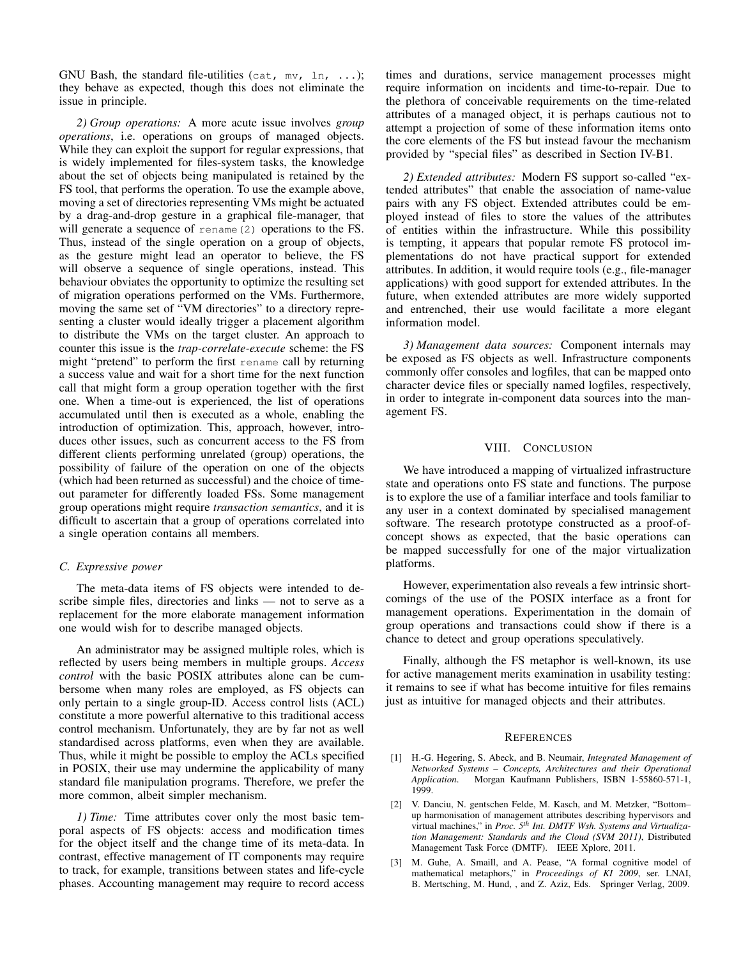GNU Bash, the standard file-utilities (cat,  $mv$ ,  $\ln$ , ...); they behave as expected, though this does not eliminate the issue in principle.

*2) Group operations:* A more acute issue involves *group operations*, i.e. operations on groups of managed objects. While they can exploit the support for regular expressions, that is widely implemented for files-system tasks, the knowledge about the set of objects being manipulated is retained by the FS tool, that performs the operation. To use the example above, moving a set of directories representing VMs might be actuated by a drag-and-drop gesture in a graphical file-manager, that will generate a sequence of rename (2) operations to the FS. Thus, instead of the single operation on a group of objects, as the gesture might lead an operator to believe, the FS will observe a sequence of single operations, instead. This behaviour obviates the opportunity to optimize the resulting set of migration operations performed on the VMs. Furthermore, moving the same set of "VM directories" to a directory representing a cluster would ideally trigger a placement algorithm to distribute the VMs on the target cluster. An approach to counter this issue is the *trap-correlate-execute* scheme: the FS might "pretend" to perform the first rename call by returning a success value and wait for a short time for the next function call that might form a group operation together with the first one. When a time-out is experienced, the list of operations accumulated until then is executed as a whole, enabling the introduction of optimization. This, approach, however, introduces other issues, such as concurrent access to the FS from different clients performing unrelated (group) operations, the possibility of failure of the operation on one of the objects (which had been returned as successful) and the choice of timeout parameter for differently loaded FSs. Some management group operations might require *transaction semantics*, and it is difficult to ascertain that a group of operations correlated into a single operation contains all members.

## *C. Expressive power*

The meta-data items of FS objects were intended to describe simple files, directories and links — not to serve as a replacement for the more elaborate management information one would wish for to describe managed objects.

An administrator may be assigned multiple roles, which is reflected by users being members in multiple groups. *Access control* with the basic POSIX attributes alone can be cumbersome when many roles are employed, as FS objects can only pertain to a single group-ID. Access control lists (ACL) constitute a more powerful alternative to this traditional access control mechanism. Unfortunately, they are by far not as well standardised across platforms, even when they are available. Thus, while it might be possible to employ the ACLs specified in POSIX, their use may undermine the applicability of many standard file manipulation programs. Therefore, we prefer the more common, albeit simpler mechanism.

*1) Time:* Time attributes cover only the most basic temporal aspects of FS objects: access and modification times for the object itself and the change time of its meta-data. In contrast, effective management of IT components may require to track, for example, transitions between states and life-cycle phases. Accounting management may require to record access times and durations, service management processes might require information on incidents and time-to-repair. Due to the plethora of conceivable requirements on the time-related attributes of a managed object, it is perhaps cautious not to attempt a projection of some of these information items onto the core elements of the FS but instead favour the mechanism provided by "special files" as described in Section IV-B1.

*2) Extended attributes:* Modern FS support so-called "extended attributes" that enable the association of name-value pairs with any FS object. Extended attributes could be employed instead of files to store the values of the attributes of entities within the infrastructure. While this possibility is tempting, it appears that popular remote FS protocol implementations do not have practical support for extended attributes. In addition, it would require tools (e.g., file-manager applications) with good support for extended attributes. In the future, when extended attributes are more widely supported and entrenched, their use would facilitate a more elegant information model.

*3) Management data sources:* Component internals may be exposed as FS objects as well. Infrastructure components commonly offer consoles and logfiles, that can be mapped onto character device files or specially named logfiles, respectively, in order to integrate in-component data sources into the management FS.

#### VIII. CONCLUSION

We have introduced a mapping of virtualized infrastructure state and operations onto FS state and functions. The purpose is to explore the use of a familiar interface and tools familiar to any user in a context dominated by specialised management software. The research prototype constructed as a proof-ofconcept shows as expected, that the basic operations can be mapped successfully for one of the major virtualization platforms.

However, experimentation also reveals a few intrinsic shortcomings of the use of the POSIX interface as a front for management operations. Experimentation in the domain of group operations and transactions could show if there is a chance to detect and group operations speculatively.

Finally, although the FS metaphor is well-known, its use for active management merits examination in usability testing: it remains to see if what has become intuitive for files remains just as intuitive for managed objects and their attributes.

## **REFERENCES**

- [1] H.-G. Hegering, S. Abeck, and B. Neumair, *Integrated Management of Networked Systems – Concepts, Architectures and their Operational Application*. Morgan Kaufmann Publishers, ISBN 1-55860-571-1, 1999.
- [2] V. Danciu, N. gentschen Felde, M. Kasch, and M. Metzker, "Bottom– up harmonisation of management attributes describing hypervisors and virtual machines," in *Proc. 5th Int. DMTF Wsh. Systems and Virtualization Management: Standards and the Cloud (SVM 2011)*, Distributed Management Task Force (DMTF). IEEE Xplore, 2011.
- [3] M. Guhe, A. Smaill, and A. Pease, "A formal cognitive model of mathematical metaphors," in *Proceedings of KI 2009*, ser. LNAI, B. Mertsching, M. Hund, , and Z. Aziz, Eds. Springer Verlag, 2009.